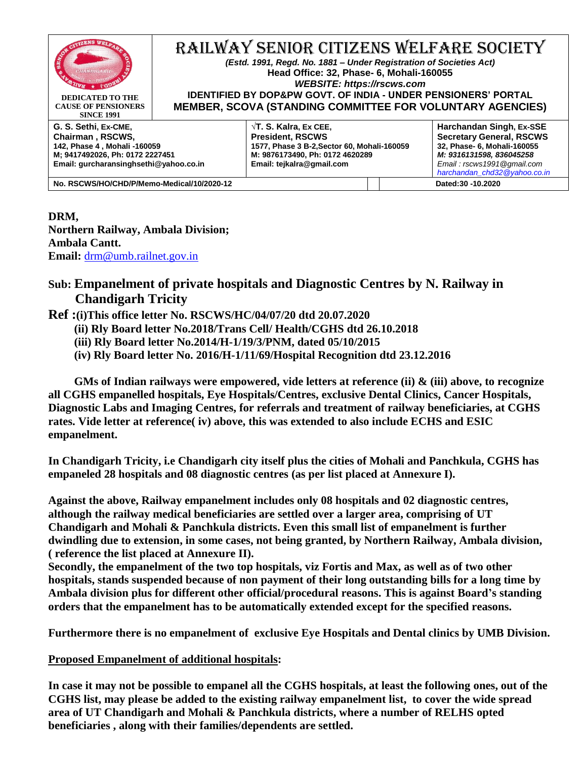

#### RAILWAY SENIOR CITIZENS WELFARE SOCIETY *(Estd. 1991, Regd. No. 1881 – Under Registration of Societies Act)* **Head Office: 32, Phase- 6, Mohali-160055** *WEBSITE: https://rscws.com*

**DEDICATED TO THE CAUSE OF PENSIONERS SINCE 1991**

**IDENTIFIED BY DOP&PW GOVT. OF INDIA - UNDER PENSIONERS' PORTAL MEMBER, SCOVA (STANDING COMMITTEE FOR VOLUNTARY AGENCIES)**

**G. S. Sethi, Ex-CME, Chairman , RSCWS, 142, Phase 4 , Mohali -160059 M; 9417492026, Ph: 0172 2227451 Email: gurcharansinghsethi@yahoo.co.in**

**√T. S. Kalra, Ex CEE, President, RSCWS 1577, Phase 3 B-2,Sector 60, Mohali-160059 M: 9876173490, Ph: 0172 4620289 Email: tejkalra@gmail.com**

**Harchandan Singh, Ex-SSE Secretary General, RSCWS 32, Phase- 6, Mohali-160055** *M: 9316131598, 836045258 Email : rscws1991@gmail.com [harchandan\\_chd32@yahoo.co.in](mailto:harchandan_chd32@yahoo.co.in)*

**No. RSCWS/HO/CHD/P/Memo-Medical/10/2020-12 Dated:30 -10.2020**

### **DRM,**

**Northern Railway, Ambala Division; Ambala Cantt. Email:** [drm@umb.railnet.gov.in](mailto:drm@umb.railnet.gov.in)

## **Sub: Empanelment of private hospitals and Diagnostic Centres by N. Railway in Chandigarh Tricity**

**Ref :(i)This office letter No. RSCWS/HC/04/07/20 dtd 20.07.2020**

- **(ii) Rly Board letter No.2018/Trans Cell/ Health/CGHS dtd 26.10.2018**
- **(iii) Rly Board letter No.2014/H-1/19/3/PNM, dated 05/10/2015**
- **(iv) Rly Board letter No. 2016/H-1/11/69/Hospital Recognition dtd 23.12.2016**

 **GMs of Indian railways were empowered, vide letters at reference (ii) & (iii) above, to recognize all CGHS empanelled hospitals, Eye Hospitals/Centres, exclusive Dental Clinics, Cancer Hospitals, Diagnostic Labs and Imaging Centres, for referrals and treatment of railway beneficiaries, at CGHS rates. Vide letter at reference( iv) above, this was extended to also include ECHS and ESIC empanelment.**

**In Chandigarh Tricity, i.e Chandigarh city itself plus the cities of Mohali and Panchkula, CGHS has empaneled 28 hospitals and 08 diagnostic centres (as per list placed at Annexure I).**

**Against the above, Railway empanelment includes only 08 hospitals and 02 diagnostic centres, although the railway medical beneficiaries are settled over a larger area, comprising of UT Chandigarh and Mohali & Panchkula districts. Even this small list of empanelment is further dwindling due to extension, in some cases, not being granted, by Northern Railway, Ambala division, ( reference the list placed at Annexure II).** 

**Secondly, the empanelment of the two top hospitals, viz Fortis and Max, as well as of two other hospitals, stands suspended because of non payment of their long outstanding bills for a long time by Ambala division plus for different other official/procedural reasons. This is against Board's standing orders that the empanelment has to be automatically extended except for the specified reasons.**

**Furthermore there is no empanelment of exclusive Eye Hospitals and Dental clinics by UMB Division.**

#### **Proposed Empanelment of additional hospitals:**

**In case it may not be possible to empanel all the CGHS hospitals, at least the following ones, out of the CGHS list, may please be added to the existing railway empanelment list, to cover the wide spread area of UT Chandigarh and Mohali & Panchkula districts, where a number of RELHS opted beneficiaries , along with their families/dependents are settled.**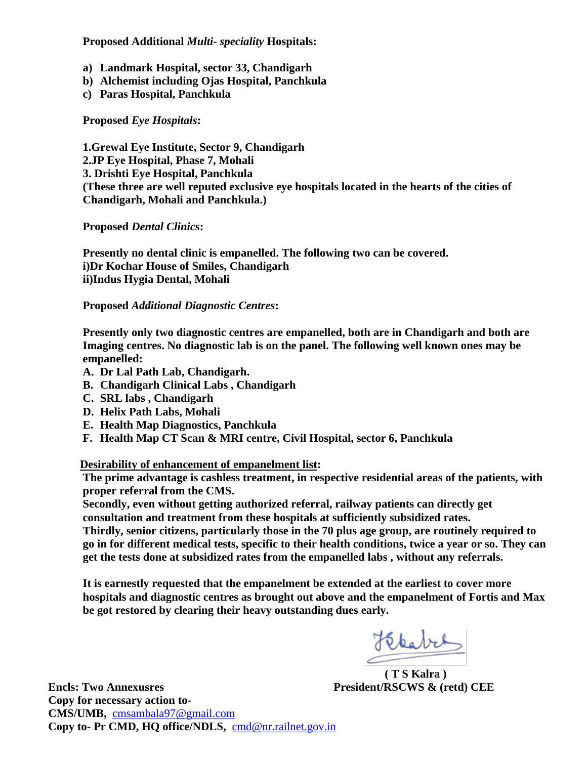**Proposed Additional** *Multi- speciality* **Hospitals:**

- **a) Landmark Hospital, sector 33, Chandigarh**
- **b) Alchemist including Ojas Hospital, Panchkula**
- **c) Paras Hospital, Panchkula**

**Proposed** *Eye Hospitals***:**

**1.Grewal Eye Institute, Sector 9, Chandigarh 2.JP Eye Hospital, Phase 7, Mohali 3. Drishti Eye Hospital, Panchkula (These three are well reputed exclusive eye hospitals located in the hearts of the cities of Chandigarh, Mohali and Panchkula.)**

**Proposed** *Dental Clinics***:**

**Presently no dental clinic is empanelled. The following two can be covered. i)Dr Kochar House of Smiles, Chandigarh ii)Indus Hygia Dental, Mohali**

#### **Proposed** *Additional Diagnostic Centres***:**

**Presently only two diagnostic centres are empanelled, both are in Chandigarh and both are Imaging centres. No diagnostic lab is on the panel. The following well known ones may be empanelled:**

- **A. Dr Lal Path Lab, Chandigarh.**
- **B. Chandigarh Clinical Labs , Chandigarh**
- **C. SRL labs , Chandigarh**
- **D. Helix Path Labs, Mohali**
- **E. Health Map Diagnostics, Panchkula**
- **F. Health Map CT Scan & MRI centre, Civil Hospital, sector 6, Panchkula**

 **Desirability of enhancement of empanelment list:**

 **The prime advantage is cashless treatment, in respective residential areas of the patients, with proper referral from the CMS.**

 **Secondly, even without getting authorized referral, railway patients can directly get consultation and treatment from these hospitals at sufficiently subsidized rates.**

 **Thirdly, senior citizens, particularly those in the 70 plus age group, are routinely required to go in for different medical tests, specific to their health conditions, twice a year or so. They can get the tests done at subsidized rates from the empanelled labs , without any referrals.**

 **It is earnestly requested that the empanelment be extended at the earliest to cover more hospitals and diagnostic centres as brought out above and the empanelment of Fortis and Max be got restored by clearing their heavy outstanding dues early.**

Hebabet

 **( T S Kalra )**

**Encls: Two Annexusres President/RSCWS & (retd) CEE Copy for necessary action to-CMS/UMB,** [cmsambala97@gmail.com](mailto:cmsambala97@gmail.com) **Copy to- Pr CMD, HQ office/NDLS,** [cmd@nr.railnet.gov.in](mailto:cmd@nr.railnet.gov.in)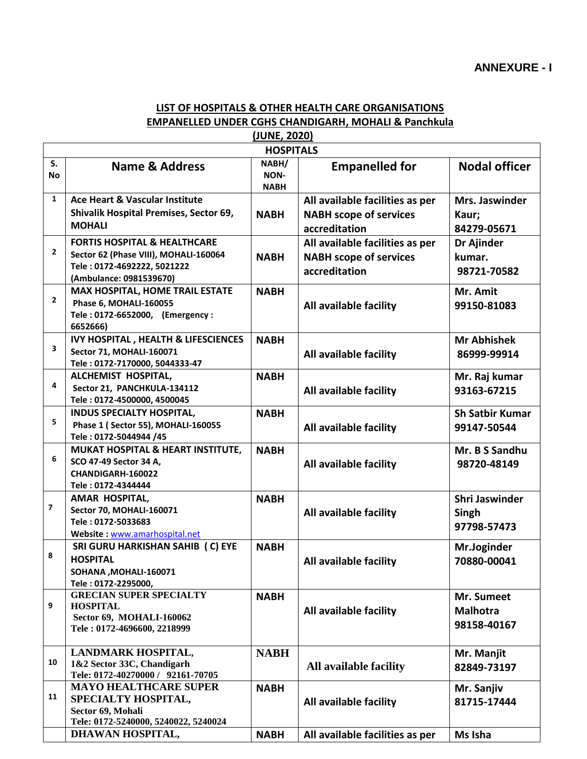## **LIST OF HOSPITALS & OTHER HEALTH CARE ORGANISATIONS EMPANELLED UNDER CGHS CHANDIGARH, MOHALI & Panchkula**

| (JUNE, 2020)     |                                                                                                                                            |                              |                                                                                   |                                              |  |
|------------------|--------------------------------------------------------------------------------------------------------------------------------------------|------------------------------|-----------------------------------------------------------------------------------|----------------------------------------------|--|
| <b>HOSPITALS</b> |                                                                                                                                            |                              |                                                                                   |                                              |  |
| S.<br><b>No</b>  | Name & Address                                                                                                                             | NABH/<br>NON-<br><b>NABH</b> | <b>Empanelled for</b>                                                             | <b>Nodal officer</b>                         |  |
| 1                | Ace Heart & Vascular Institute<br>Shivalik Hospital Premises, Sector 69,<br><b>MOHALI</b>                                                  | <b>NABH</b>                  | All available facilities as per<br><b>NABH scope of services</b><br>accreditation | Mrs. Jaswinder<br>Kaur;<br>84279-05671       |  |
| $\mathbf{2}$     | <b>FORTIS HOSPITAL &amp; HEALTHCARE</b><br>Sector 62 (Phase VIII), MOHALI-160064<br>Tele: 0172-4692222, 5021222<br>(Ambulance: 0981539670) | <b>NABH</b>                  | All available facilities as per<br><b>NABH scope of services</b><br>accreditation | Dr Ajinder<br>kumar.<br>98721-70582          |  |
| $\mathbf{2}$     | <b>MAX HOSPITAL, HOME TRAIL ESTATE</b><br>Phase 6, MOHALI-160055<br>Tele: 0172-6652000, (Emergency:<br>6652666)                            | <b>NABH</b>                  | All available facility                                                            | Mr. Amit<br>99150-81083                      |  |
| 3                | <b>IVY HOSPITAL, HEALTH &amp; LIFESCIENCES</b><br>Sector 71, MOHALI-160071<br>Tele: 0172-7170000, 5044333-47                               | <b>NABH</b>                  | All available facility                                                            | <b>Mr Abhishek</b><br>86999-99914            |  |
| 4                | ALCHEMIST HOSPITAL,<br>Sector 21, PANCHKULA-134112<br>Tele: 0172-4500000, 4500045                                                          | <b>NABH</b>                  | All available facility                                                            | Mr. Raj kumar<br>93163-67215                 |  |
| 5                | <b>INDUS SPECIALTY HOSPITAL,</b><br>Phase 1 (Sector 55), MOHALI-160055<br>Tele: 0172-5044944 /45                                           | <b>NABH</b>                  | All available facility                                                            | <b>Sh Satbir Kumar</b><br>99147-50544        |  |
| 6                | MUKAT HOSPITAL & HEART INSTITUTE,<br>SCO 47-49 Sector 34 A,<br>CHANDIGARH-160022<br>Tele: 0172-4344444                                     | <b>NABH</b>                  | All available facility                                                            | Mr. B S Sandhu<br>98720-48149                |  |
| 7                | AMAR HOSPITAL,<br><b>Sector 70, MOHALI-160071</b><br>Tele: 0172-5033683<br>Website: www.amarhospital.net                                   | <b>NABH</b>                  | All available facility                                                            | Shri Jaswinder<br>Singh<br>97798-57473       |  |
| 8                | SRI GURU HARKISHAN SAHIB (C) EYE<br><b>HOSPITAL</b><br>SOHANA , MOHALI-160071<br>Tele: 0172-2295000,                                       | <b>NABH</b>                  | All available facility                                                            | Mr.Joginder<br>70880-00041                   |  |
| 9                | <b>GRECIAN SUPER SPECIALTY</b><br><b>HOSPITAL</b><br>Sector 69, MOHALI-160062<br>Tele: 0172-4696600, 2218999                               | <b>NABH</b>                  | All available facility                                                            | Mr. Sumeet<br><b>Malhotra</b><br>98158-40167 |  |
| 10               | LANDMARK HOSPITAL,<br>1&2 Sector 33C, Chandigarh<br>Tele: 0172-40270000 / 92161-70705                                                      | <b>NABH</b>                  | All available facility                                                            | Mr. Manjit<br>82849-73197                    |  |
| 11               | <b>MAYO HEALTHCARE SUPER</b><br>SPECIALTY HOSPITAL,<br>Sector 69, Mohali<br>Tele: 0172-5240000, 5240022, 5240024                           | <b>NABH</b>                  | All available facility                                                            | Mr. Sanjiv<br>81715-17444                    |  |
|                  | DHAWAN HOSPITAL,                                                                                                                           | <b>NABH</b>                  | All available facilities as per                                                   | Ms Isha                                      |  |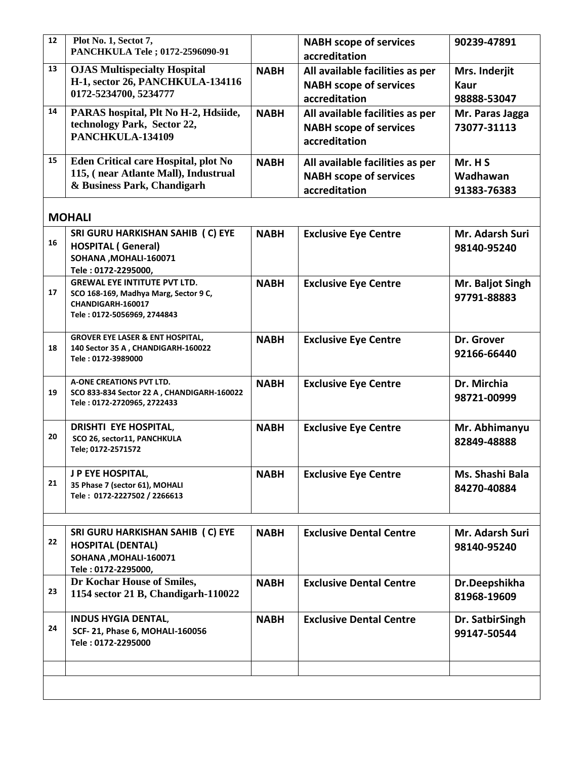| 12 | Plot No. 1, Sectot 7,<br>PANCHKULA Tele; 0172-2596090-91                                                                         |             | <b>NABH scope of services</b><br>accreditation                                    | 90239-47891                          |
|----|----------------------------------------------------------------------------------------------------------------------------------|-------------|-----------------------------------------------------------------------------------|--------------------------------------|
| 13 | <b>OJAS Multispecialty Hospital</b><br>H-1, sector 26, PANCHKULA-134116<br>0172-5234700, 5234777                                 | <b>NABH</b> | All available facilities as per<br><b>NABH scope of services</b><br>accreditation | Mrs. Inderjit<br>Kaur<br>98888-53047 |
| 14 | PARAS hospital, Plt No H-2, Hdsiide,<br>technology Park, Sector 22,<br>PANCHKULA-134109                                          | <b>NABH</b> | All available facilities as per<br><b>NABH scope of services</b><br>accreditation | Mr. Paras Jagga<br>73077-31113       |
| 15 | Eden Critical care Hospital, plot No<br>115, (near Atlante Mall), Industrual<br>& Business Park, Chandigarh                      | <b>NABH</b> | All available facilities as per<br><b>NABH scope of services</b><br>accreditation | Mr. H S<br>Wadhawan<br>91383-76383   |
|    | <b>MOHALI</b>                                                                                                                    |             |                                                                                   |                                      |
| 16 | SRI GURU HARKISHAN SAHIB (C) EYE<br><b>HOSPITAL (General)</b><br>SOHANA, MOHALI-160071<br>Tele: 0172-2295000,                    | <b>NABH</b> | <b>Exclusive Eye Centre</b>                                                       | Mr. Adarsh Suri<br>98140-95240       |
| 17 | <b>GREWAL EYE INTITUTE PVT LTD.</b><br>SCO 168-169, Madhya Marg, Sector 9 C,<br>CHANDIGARH-160017<br>Tele: 0172-5056969, 2744843 | <b>NABH</b> | <b>Exclusive Eye Centre</b>                                                       | Mr. Baljot Singh<br>97791-88883      |
| 18 | <b>GROVER EYE LASER &amp; ENT HOSPITAL,</b><br>140 Sector 35 A, CHANDIGARH-160022<br>Tele: 0172-3989000                          | <b>NABH</b> | <b>Exclusive Eye Centre</b>                                                       | Dr. Grover<br>92166-66440            |
| 19 | A-ONE CREATIONS PVT LTD.<br>SCO 833-834 Sector 22 A, CHANDIGARH-160022<br>Tele: 0172-2720965, 2722433                            | <b>NABH</b> | <b>Exclusive Eye Centre</b>                                                       | Dr. Mirchia<br>98721-00999           |
| 20 | <b>DRISHTI EYE HOSPITAL,</b><br>SCO 26, sector11, PANCHKULA<br>Tele; 0172-2571572                                                | <b>NABH</b> | <b>Exclusive Eye Centre</b>                                                       | Mr. Abhimanyu<br>82849-48888         |
| 21 | J P EYE HOSPITAL,<br>35 Phase 7 (sector 61), MOHALI<br>Tele: 0172-2227502 / 2266613                                              | <b>NABH</b> | <b>Exclusive Eye Centre</b>                                                       | Ms. Shashi Bala<br>84270-40884       |
| 22 | SRI GURU HARKISHAN SAHIB (C) EYE<br><b>HOSPITAL (DENTAL)</b><br>SOHANA, MOHALI-160071<br>Tele: 0172-2295000,                     | <b>NABH</b> | <b>Exclusive Dental Centre</b>                                                    | Mr. Adarsh Suri<br>98140-95240       |
| 23 | Dr Kochar House of Smiles,<br>1154 sector 21 B, Chandigarh-110022                                                                | <b>NABH</b> | <b>Exclusive Dental Centre</b>                                                    | Dr.Deepshikha<br>81968-19609         |
| 24 | <b>INDUS HYGIA DENTAL,</b><br>SCF-21, Phase 6, MOHALI-160056<br>Tele: 0172-2295000                                               | <b>NABH</b> | <b>Exclusive Dental Centre</b>                                                    | Dr. SatbirSingh<br>99147-50544       |
|    |                                                                                                                                  |             |                                                                                   |                                      |
|    |                                                                                                                                  |             |                                                                                   |                                      |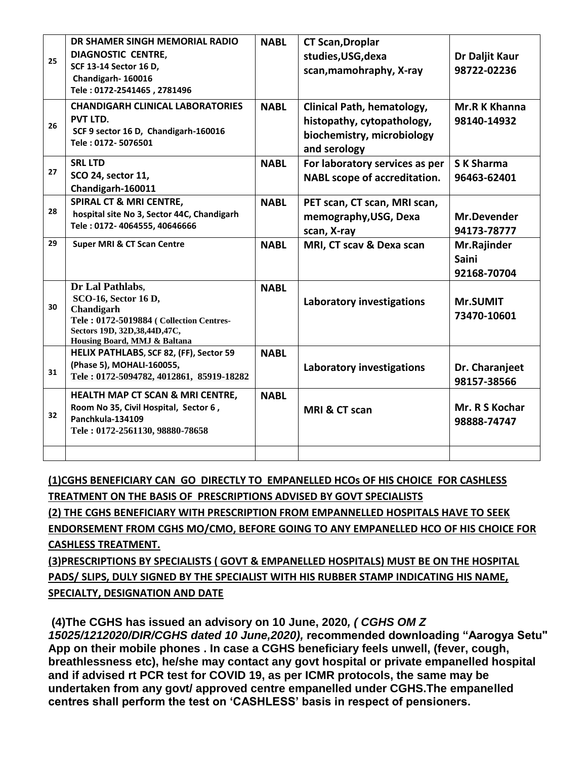| 25 | DR SHAMER SINGH MEMORIAL RADIO<br><b>DIAGNOSTIC CENTRE,</b><br>SCF 13-14 Sector 16 D,<br>Chandigarh-160016<br>Tele: 0172-2541465, 2781496                             | <b>NABL</b> | <b>CT Scan, Droplar</b><br>studies, USG, dexa<br>scan, mamohraphy, X-ray                               | Dr Daljit Kaur<br>98722-02236              |
|----|-----------------------------------------------------------------------------------------------------------------------------------------------------------------------|-------------|--------------------------------------------------------------------------------------------------------|--------------------------------------------|
| 26 | <b>CHANDIGARH CLINICAL LABORATORIES</b><br>PVT LTD.<br>SCF 9 sector 16 D, Chandigarh-160016<br>Tele: 0172-5076501                                                     | <b>NABL</b> | Clinical Path, hematology,<br>histopathy, cytopathology,<br>biochemistry, microbiology<br>and serology | Mr.R K Khanna<br>98140-14932               |
| 27 | <b>SRL LTD</b><br>SCO 24, sector 11,<br>Chandigarh-160011                                                                                                             | <b>NABL</b> | For laboratory services as per<br><b>NABL scope of accreditation.</b>                                  | <b>SK Sharma</b><br>96463-62401            |
| 28 | <b>SPIRAL CT &amp; MRI CENTRE,</b><br>hospital site No 3, Sector 44C, Chandigarh<br>Tele: 0172-4064555, 40646666                                                      | <b>NABL</b> | PET scan, CT scan, MRI scan,<br>memography, USG, Dexa<br>scan, X-ray                                   | <b>Mr.Devender</b><br>94173-78777          |
| 29 | <b>Super MRI &amp; CT Scan Centre</b>                                                                                                                                 | <b>NABL</b> | MRI, CT scav & Dexa scan                                                                               | Mr.Rajinder<br><b>Saini</b><br>92168-70704 |
| 30 | Dr Lal Pathlabs,<br>SCO-16, Sector 16 D,<br>Chandigarh<br>Tele: 0172-5019884 ( Collection Centres-<br>Sectors 19D, 32D, 38, 44D, 47C,<br>Housing Board, MMJ & Baltana | <b>NABL</b> | <b>Laboratory investigations</b>                                                                       | <b>Mr.SUMIT</b><br>73470-10601             |
| 31 | HELIX PATHLABS, SCF 82, (FF), Sector 59<br>(Phase 5), MOHALI-160055,<br>Tele: 0172-5094782, 4012861, 85919-18282                                                      | <b>NABL</b> | <b>Laboratory investigations</b>                                                                       | Dr. Charanjeet<br>98157-38566              |
| 32 | <b>HEALTH MAP CT SCAN &amp; MRI CENTRE,</b><br>Room No 35, Civil Hospital, Sector 6,<br>Panchkula-134109<br>Tele: 0172-2561130, 98880-78658                           | <b>NABL</b> | MRI & CT scan                                                                                          | Mr. R S Kochar<br>98888-74747              |
|    |                                                                                                                                                                       |             |                                                                                                        |                                            |

**(1)CGHS BENEFICIARY CAN GO DIRECTLY TO EMPANELLED HCOs OF HIS CHOICE FOR CASHLESS** 

**TREATMENT ON THE BASIS OF PRESCRIPTIONS ADVISED BY GOVT SPECIALISTS** 

**(2) THE CGHS BENEFICIARY WITH PRESCRIPTION FROM EMPANNELLED HOSPITALS HAVE TO SEEK** 

**ENDORSEMENT FROM CGHS MO/CMO, BEFORE GOING TO ANY EMPANELLED HCO OF HIS CHOICE FOR CASHLESS TREATMENT.**

**(3)PRESCRIPTIONS BY SPECIALISTS ( GOVT & EMPANELLED HOSPITALS) MUST BE ON THE HOSPITAL PADS/ SLIPS, DULY SIGNED BY THE SPECIALIST WITH HIS RUBBER STAMP INDICATING HIS NAME, SPECIALTY, DESIGNATION AND DATE**

**(4)The CGHS has issued an advisory on 10 June, 2020***, ( CGHS OM Z 15025/1212020/DIR/CGHS dated 10 June,2020),* **recommended downloading "Aarogya Setu" App on their mobile phones . In case a CGHS beneficiary feels unwell, (fever, cough, breathlessness etc), he/she may contact any govt hospital or private empanelled hospital and if advised rt PCR test for COVID 19, as per ICMR protocols, the same may be undertaken from any govt/ approved centre empanelled under CGHS.The empanelled centres shall perform the test on 'CASHLESS' basis in respect of pensioners.**